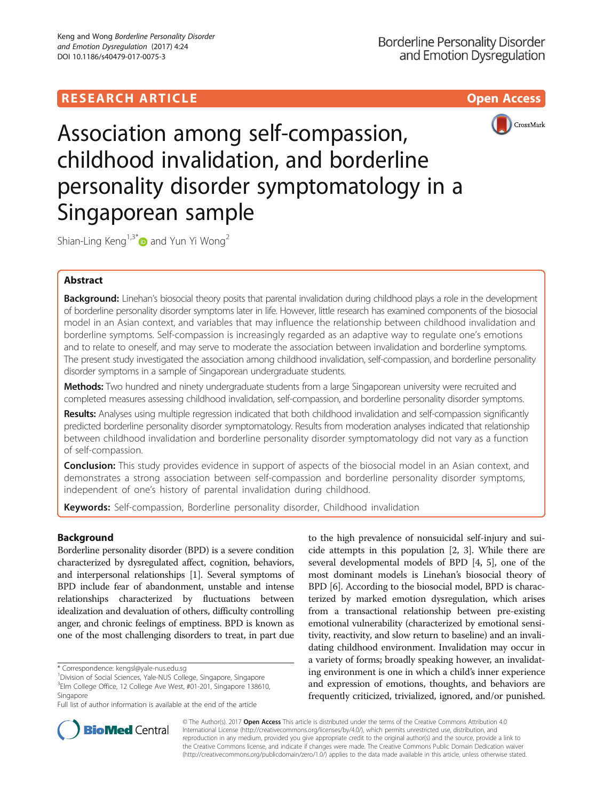# **RESEARCH ARTICLE Example 2018 12:00 Department of the Contract Open Access**



Association among self-compassion, childhood invalidation, and borderline personality disorder symptomatology in a Singaporean sample

Shian-Ling Keng<sup>1,3\*</sup> $\bullet$  and Yun Yi Wong<sup>2</sup>

# Abstract

Background: Linehan's biosocial theory posits that parental invalidation during childhood plays a role in the development of borderline personality disorder symptoms later in life. However, little research has examined components of the biosocial model in an Asian context, and variables that may influence the relationship between childhood invalidation and borderline symptoms. Self-compassion is increasingly regarded as an adaptive way to regulate one's emotions and to relate to oneself, and may serve to moderate the association between invalidation and borderline symptoms. The present study investigated the association among childhood invalidation, self-compassion, and borderline personality disorder symptoms in a sample of Singaporean undergraduate students.

Methods: Two hundred and ninety undergraduate students from a large Singaporean university were recruited and completed measures assessing childhood invalidation, self-compassion, and borderline personality disorder symptoms.

Results: Analyses using multiple regression indicated that both childhood invalidation and self-compassion significantly predicted borderline personality disorder symptomatology. Results from moderation analyses indicated that relationship between childhood invalidation and borderline personality disorder symptomatology did not vary as a function of self-compassion.

**Conclusion:** This study provides evidence in support of aspects of the biosocial model in an Asian context, and demonstrates a strong association between self-compassion and borderline personality disorder symptoms, independent of one's history of parental invalidation during childhood.

Keywords: Self-compassion, Borderline personality disorder, Childhood invalidation

## Background

Borderline personality disorder (BPD) is a severe condition characterized by dysregulated affect, cognition, behaviors, and interpersonal relationships [\[1](#page-6-0)]. Several symptoms of BPD include fear of abandonment, unstable and intense relationships characterized by fluctuations between idealization and devaluation of others, difficulty controlling anger, and chronic feelings of emptiness. BPD is known as one of the most challenging disorders to treat, in part due

<sup>1</sup>Division of Social Sciences, Yale-NUS College, Singapore, Singapore <sup>3</sup>Elm College Office, 12 College Ave West, #01-201, Singapore 138610, Singapore

to the high prevalence of nonsuicidal self-injury and suicide attempts in this population [[2, 3\]](#page-6-0). While there are several developmental models of BPD [[4](#page-6-0), [5](#page-6-0)], one of the most dominant models is Linehan's biosocial theory of BPD [[6\]](#page-6-0). According to the biosocial model, BPD is characterized by marked emotion dysregulation, which arises from a transactional relationship between pre-existing emotional vulnerability (characterized by emotional sensitivity, reactivity, and slow return to baseline) and an invalidating childhood environment. Invalidation may occur in a variety of forms; broadly speaking however, an invalidating environment is one in which a child's inner experience and expression of emotions, thoughts, and behaviors are frequently criticized, trivialized, ignored, and/or punished.



© The Author(s). 2017 **Open Access** This article is distributed under the terms of the Creative Commons Attribution 4.0 International License [\(http://creativecommons.org/licenses/by/4.0/](http://creativecommons.org/licenses/by/4.0/)), which permits unrestricted use, distribution, and reproduction in any medium, provided you give appropriate credit to the original author(s) and the source, provide a link to the Creative Commons license, and indicate if changes were made. The Creative Commons Public Domain Dedication waiver [\(http://creativecommons.org/publicdomain/zero/1.0/](http://creativecommons.org/publicdomain/zero/1.0/)) applies to the data made available in this article, unless otherwise stated.

<sup>\*</sup> Correspondence: [kengsl@yale-nus.edu.sg](mailto:kengsl@yale-nus.edu.sg) <sup>1</sup>

Full list of author information is available at the end of the article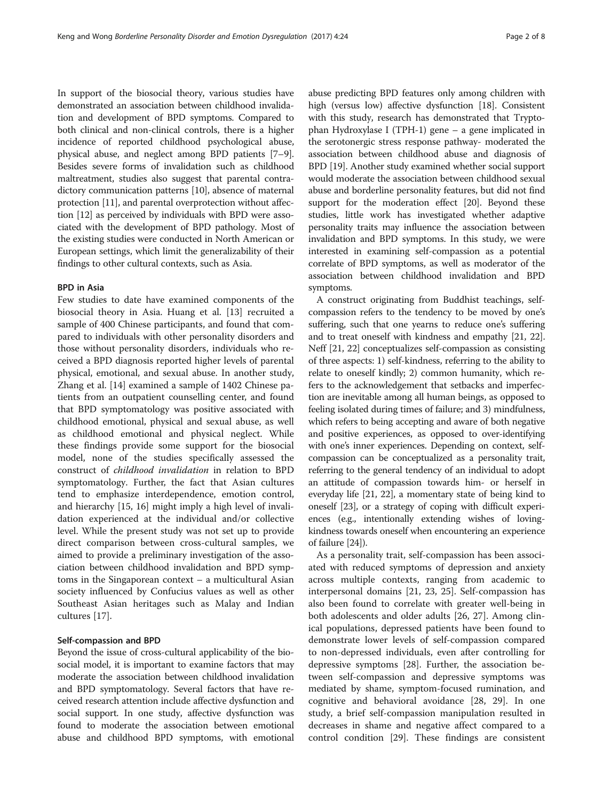In support of the biosocial theory, various studies have demonstrated an association between childhood invalidation and development of BPD symptoms. Compared to both clinical and non-clinical controls, there is a higher incidence of reported childhood psychological abuse, physical abuse, and neglect among BPD patients [[7](#page-6-0)–[9](#page-6-0)]. Besides severe forms of invalidation such as childhood maltreatment, studies also suggest that parental contradictory communication patterns [\[10\]](#page-6-0), absence of maternal protection [[11](#page-6-0)], and parental overprotection without affection [[12](#page-6-0)] as perceived by individuals with BPD were associated with the development of BPD pathology. Most of the existing studies were conducted in North American or European settings, which limit the generalizability of their findings to other cultural contexts, such as Asia.

### BPD in Asia

Few studies to date have examined components of the biosocial theory in Asia. Huang et al. [[13\]](#page-6-0) recruited a sample of 400 Chinese participants, and found that compared to individuals with other personality disorders and those without personality disorders, individuals who received a BPD diagnosis reported higher levels of parental physical, emotional, and sexual abuse. In another study, Zhang et al. [\[14](#page-6-0)] examined a sample of 1402 Chinese patients from an outpatient counselling center, and found that BPD symptomatology was positive associated with childhood emotional, physical and sexual abuse, as well as childhood emotional and physical neglect. While these findings provide some support for the biosocial model, none of the studies specifically assessed the construct of childhood invalidation in relation to BPD symptomatology. Further, the fact that Asian cultures tend to emphasize interdependence, emotion control, and hierarchy [\[15](#page-6-0), [16](#page-6-0)] might imply a high level of invalidation experienced at the individual and/or collective level. While the present study was not set up to provide direct comparison between cross-cultural samples, we aimed to provide a preliminary investigation of the association between childhood invalidation and BPD symptoms in the Singaporean context – a multicultural Asian society influenced by Confucius values as well as other Southeast Asian heritages such as Malay and Indian cultures [\[17](#page-6-0)].

### Self-compassion and BPD

Beyond the issue of cross-cultural applicability of the biosocial model, it is important to examine factors that may moderate the association between childhood invalidation and BPD symptomatology. Several factors that have received research attention include affective dysfunction and social support. In one study, affective dysfunction was found to moderate the association between emotional abuse and childhood BPD symptoms, with emotional abuse predicting BPD features only among children with high (versus low) affective dysfunction [\[18\]](#page-6-0). Consistent with this study, research has demonstrated that Tryptophan Hydroxylase I (TPH-1) gene – a gene implicated in the serotonergic stress response pathway- moderated the association between childhood abuse and diagnosis of BPD [[19](#page-6-0)]. Another study examined whether social support would moderate the association between childhood sexual abuse and borderline personality features, but did not find support for the moderation effect [\[20\]](#page-6-0). Beyond these studies, little work has investigated whether adaptive personality traits may influence the association between invalidation and BPD symptoms. In this study, we were interested in examining self-compassion as a potential correlate of BPD symptoms, as well as moderator of the association between childhood invalidation and BPD symptoms.

A construct originating from Buddhist teachings, selfcompassion refers to the tendency to be moved by one's suffering, such that one yearns to reduce one's suffering and to treat oneself with kindness and empathy [\[21, 22](#page-6-0)]. Neff [\[21, 22\]](#page-6-0) conceptualizes self-compassion as consisting of three aspects: 1) self-kindness, referring to the ability to relate to oneself kindly; 2) common humanity, which refers to the acknowledgement that setbacks and imperfection are inevitable among all human beings, as opposed to feeling isolated during times of failure; and 3) mindfulness, which refers to being accepting and aware of both negative and positive experiences, as opposed to over-identifying with one's inner experiences. Depending on context, selfcompassion can be conceptualized as a personality trait, referring to the general tendency of an individual to adopt an attitude of compassion towards him- or herself in everyday life [\[21, 22\]](#page-6-0), a momentary state of being kind to oneself [\[23\]](#page-6-0), or a strategy of coping with difficult experiences (e.g., intentionally extending wishes of lovingkindness towards oneself when encountering an experience of failure [\[24\]](#page-6-0)).

As a personality trait, self-compassion has been associated with reduced symptoms of depression and anxiety across multiple contexts, ranging from academic to interpersonal domains [\[21, 23, 25](#page-6-0)]. Self-compassion has also been found to correlate with greater well-being in both adolescents and older adults [[26, 27](#page-6-0)]. Among clinical populations, depressed patients have been found to demonstrate lower levels of self-compassion compared to non-depressed individuals, even after controlling for depressive symptoms [\[28](#page-6-0)]. Further, the association between self-compassion and depressive symptoms was mediated by shame, symptom-focused rumination, and cognitive and behavioral avoidance [\[28, 29\]](#page-6-0). In one study, a brief self-compassion manipulation resulted in decreases in shame and negative affect compared to a control condition [\[29](#page-6-0)]. These findings are consistent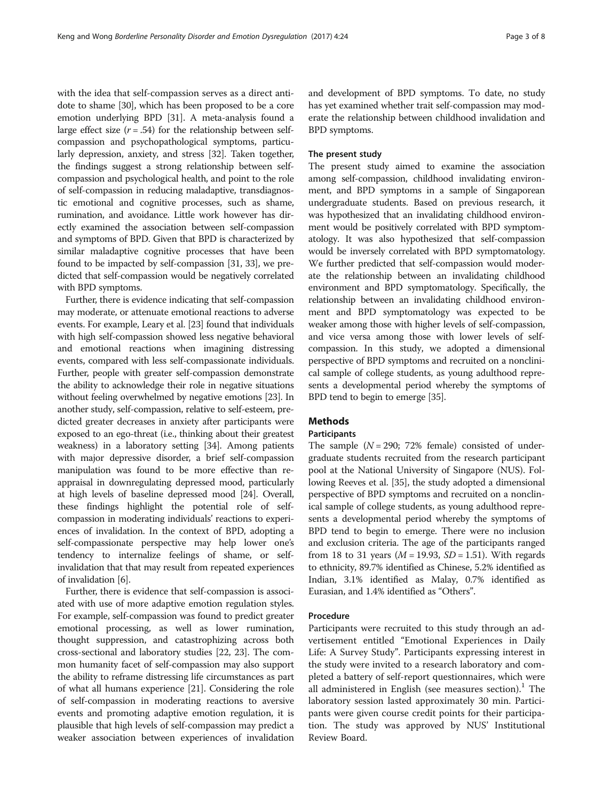with the idea that self-compassion serves as a direct antidote to shame [\[30](#page-6-0)], which has been proposed to be a core emotion underlying BPD [\[31\]](#page-6-0). A meta-analysis found a large effect size  $(r = .54)$  for the relationship between selfcompassion and psychopathological symptoms, particularly depression, anxiety, and stress [\[32\]](#page-6-0). Taken together, the findings suggest a strong relationship between selfcompassion and psychological health, and point to the role of self-compassion in reducing maladaptive, transdiagnostic emotional and cognitive processes, such as shame, rumination, and avoidance. Little work however has directly examined the association between self-compassion and symptoms of BPD. Given that BPD is characterized by similar maladaptive cognitive processes that have been found to be impacted by self-compassion [[31](#page-6-0), [33\]](#page-6-0), we predicted that self-compassion would be negatively correlated with BPD symptoms.

Further, there is evidence indicating that self-compassion may moderate, or attenuate emotional reactions to adverse events. For example, Leary et al. [[23](#page-6-0)] found that individuals with high self-compassion showed less negative behavioral and emotional reactions when imagining distressing events, compared with less self-compassionate individuals. Further, people with greater self-compassion demonstrate the ability to acknowledge their role in negative situations without feeling overwhelmed by negative emotions [[23](#page-6-0)]. In another study, self-compassion, relative to self-esteem, predicted greater decreases in anxiety after participants were exposed to an ego-threat (i.e., thinking about their greatest weakness) in a laboratory setting [\[34](#page-6-0)]. Among patients with major depressive disorder, a brief self-compassion manipulation was found to be more effective than reappraisal in downregulating depressed mood, particularly at high levels of baseline depressed mood [\[24\]](#page-6-0). Overall, these findings highlight the potential role of selfcompassion in moderating individuals' reactions to experiences of invalidation. In the context of BPD, adopting a self-compassionate perspective may help lower one's tendency to internalize feelings of shame, or selfinvalidation that that may result from repeated experiences of invalidation [\[6\]](#page-6-0).

Further, there is evidence that self-compassion is associated with use of more adaptive emotion regulation styles. For example, self-compassion was found to predict greater emotional processing, as well as lower rumination, thought suppression, and catastrophizing across both cross-sectional and laboratory studies [\[22, 23](#page-6-0)]. The common humanity facet of self-compassion may also support the ability to reframe distressing life circumstances as part of what all humans experience [[21](#page-6-0)]. Considering the role of self-compassion in moderating reactions to aversive events and promoting adaptive emotion regulation, it is plausible that high levels of self-compassion may predict a weaker association between experiences of invalidation and development of BPD symptoms. To date, no study has yet examined whether trait self-compassion may moderate the relationship between childhood invalidation and BPD symptoms.

### The present study

The present study aimed to examine the association among self-compassion, childhood invalidating environment, and BPD symptoms in a sample of Singaporean undergraduate students. Based on previous research, it was hypothesized that an invalidating childhood environment would be positively correlated with BPD symptomatology. It was also hypothesized that self-compassion would be inversely correlated with BPD symptomatology. We further predicted that self-compassion would moderate the relationship between an invalidating childhood environment and BPD symptomatology. Specifically, the relationship between an invalidating childhood environment and BPD symptomatology was expected to be weaker among those with higher levels of self-compassion, and vice versa among those with lower levels of selfcompassion. In this study, we adopted a dimensional perspective of BPD symptoms and recruited on a nonclinical sample of college students, as young adulthood represents a developmental period whereby the symptoms of BPD tend to begin to emerge [\[35\]](#page-6-0).

### Methods

### **Participants**

The sample  $(N = 290; 72\%$  female) consisted of undergraduate students recruited from the research participant pool at the National University of Singapore (NUS). Following Reeves et al. [[35](#page-6-0)], the study adopted a dimensional perspective of BPD symptoms and recruited on a nonclinical sample of college students, as young adulthood represents a developmental period whereby the symptoms of BPD tend to begin to emerge. There were no inclusion and exclusion criteria. The age of the participants ranged from 18 to 31 years ( $M = 19.93$ ,  $SD = 1.51$ ). With regards to ethnicity, 89.7% identified as Chinese, 5.2% identified as Indian, 3.1% identified as Malay, 0.7% identified as Eurasian, and 1.4% identified as "Others".

#### Procedure

Participants were recruited to this study through an advertisement entitled "Emotional Experiences in Daily Life: A Survey Study". Participants expressing interest in the study were invited to a research laboratory and completed a battery of self-report questionnaires, which were all administered in English (see measures section).<sup>1</sup> The laboratory session lasted approximately 30 min. Participants were given course credit points for their participation. The study was approved by NUS' Institutional Review Board.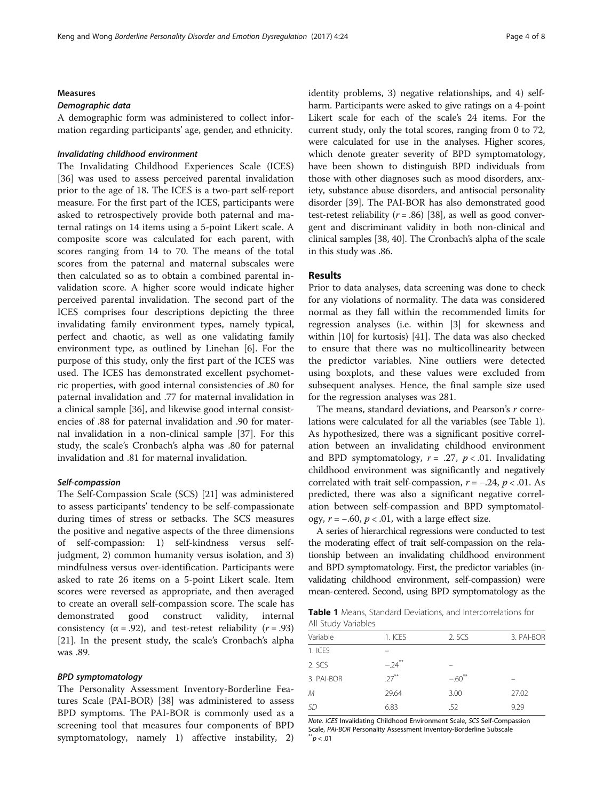### Measures

#### Demographic data

A demographic form was administered to collect information regarding participants' age, gender, and ethnicity.

#### Invalidating childhood environment

The Invalidating Childhood Experiences Scale (ICES) [[36\]](#page-6-0) was used to assess perceived parental invalidation prior to the age of 18. The ICES is a two-part self-report measure. For the first part of the ICES, participants were asked to retrospectively provide both paternal and maternal ratings on 14 items using a 5-point Likert scale. A composite score was calculated for each parent, with scores ranging from 14 to 70. The means of the total scores from the paternal and maternal subscales were then calculated so as to obtain a combined parental invalidation score. A higher score would indicate higher perceived parental invalidation. The second part of the ICES comprises four descriptions depicting the three invalidating family environment types, namely typical, perfect and chaotic, as well as one validating family environment type, as outlined by Linehan [\[6](#page-6-0)]. For the purpose of this study, only the first part of the ICES was used. The ICES has demonstrated excellent psychometric properties, with good internal consistencies of .80 for paternal invalidation and .77 for maternal invalidation in a clinical sample [\[36](#page-6-0)], and likewise good internal consistencies of .88 for paternal invalidation and .90 for maternal invalidation in a non-clinical sample [\[37](#page-6-0)]. For this study, the scale's Cronbach's alpha was .80 for paternal invalidation and .81 for maternal invalidation.

#### Self-compassion

The Self-Compassion Scale (SCS) [[21](#page-6-0)] was administered to assess participants' tendency to be self-compassionate during times of stress or setbacks. The SCS measures the positive and negative aspects of the three dimensions of self-compassion: 1) self-kindness versus selfjudgment, 2) common humanity versus isolation, and 3) mindfulness versus over-identification. Participants were asked to rate 26 items on a 5-point Likert scale. Item scores were reversed as appropriate, and then averaged to create an overall self-compassion score. The scale has demonstrated good construct validity, internal consistency ( $\alpha$  = .92), and test-retest reliability ( $r$  = .93) [[21\]](#page-6-0). In the present study, the scale's Cronbach's alpha was .89.

### BPD symptomatology

The Personality Assessment Inventory-Borderline Features Scale (PAI-BOR) [\[38\]](#page-7-0) was administered to assess BPD symptoms. The PAI-BOR is commonly used as a screening tool that measures four components of BPD symptomatology, namely 1) affective instability, 2) identity problems, 3) negative relationships, and 4) selfharm. Participants were asked to give ratings on a 4-point Likert scale for each of the scale's 24 items. For the current study, only the total scores, ranging from 0 to 72, were calculated for use in the analyses. Higher scores, which denote greater severity of BPD symptomatology, have been shown to distinguish BPD individuals from those with other diagnoses such as mood disorders, anxiety, substance abuse disorders, and antisocial personality disorder [\[39](#page-7-0)]. The PAI-BOR has also demonstrated good test-retest reliability ( $r = .86$ ) [\[38\]](#page-7-0), as well as good convergent and discriminant validity in both non-clinical and clinical samples [[38, 40\]](#page-7-0). The Cronbach's alpha of the scale in this study was .86.

### Results

Prior to data analyses, data screening was done to check for any violations of normality. The data was considered normal as they fall within the recommended limits for regression analyses (i.e. within |3| for skewness and within |10| for kurtosis) [\[41\]](#page-7-0). The data was also checked to ensure that there was no multicollinearity between the predictor variables. Nine outliers were detected using boxplots, and these values were excluded from subsequent analyses. Hence, the final sample size used for the regression analyses was 281.

The means, standard deviations, and Pearson's r correlations were calculated for all the variables (see Table 1). As hypothesized, there was a significant positive correlation between an invalidating childhood environment and BPD symptomatology,  $r = .27$ ,  $p < .01$ . Invalidating childhood environment was significantly and negatively correlated with trait self-compassion,  $r = -0.24$ ,  $p < 0.01$ . As predicted, there was also a significant negative correlation between self-compassion and BPD symptomatology,  $r = -.60$ ,  $p < .01$ , with a large effect size.

A series of hierarchical regressions were conducted to test the moderating effect of trait self-compassion on the relationship between an invalidating childhood environment and BPD symptomatology. First, the predictor variables (invalidating childhood environment, self-compassion) were mean-centered. Second, using BPD symptomatology as the

Table 1 Means, Standard Deviations, and Intercorrelations for All Study Variables

| .          |                          |                      |            |  |  |  |  |
|------------|--------------------------|----------------------|------------|--|--|--|--|
| Variable   | 1. ICES                  | 2. SCS               | 3. PAI-BOR |  |  |  |  |
| 1. ICES    |                          |                      |            |  |  |  |  |
| 2. SCS     | $***$<br>$-24^{\degree}$ |                      |            |  |  |  |  |
| 3. PAI-BOR | $.27***$                 | $-.60$ <sup>**</sup> |            |  |  |  |  |
| M          | 29.64                    | 3.00                 | 27.02      |  |  |  |  |
| SD         | 6.83                     | .52                  | 9.29       |  |  |  |  |
|            |                          |                      |            |  |  |  |  |

Note. ICES Invalidating Childhood Environment Scale, SCS Self-Compassion Scale, *PAI-BOR* Personality Assessment Inventory-Borderline Subscale  $*p < .01$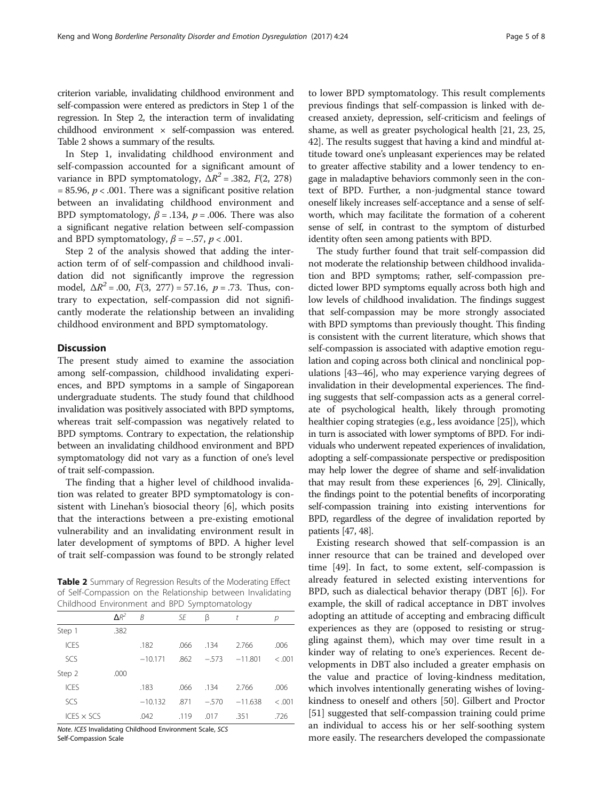criterion variable, invalidating childhood environment and self-compassion were entered as predictors in Step 1 of the regression. In Step 2, the interaction term of invalidating childhood environment  $\times$  self-compassion was entered. Table 2 shows a summary of the results.

In Step 1, invalidating childhood environment and self-compassion accounted for a significant amount of variance in BPD symptomatology,  $\Delta R^2$  = .382,  $F(2, 278)$  $= 85.96$ ,  $p < .001$ . There was a significant positive relation between an invalidating childhood environment and BPD symptomatology,  $\beta$  = .134,  $p$  = .006. There was also a significant negative relation between self-compassion and BPD symptomatology,  $\beta = -.57$ ,  $p < .001$ .

Step 2 of the analysis showed that adding the interaction term of of self-compassion and childhood invalidation did not significantly improve the regression model,  $\Delta R^2 = .00$ ,  $F(3, 277) = 57.16$ ,  $p = .73$ . Thus, contrary to expectation, self-compassion did not significantly moderate the relationship between an invaliding childhood environment and BPD symptomatology.

### **Discussion**

The present study aimed to examine the association among self-compassion, childhood invalidating experiences, and BPD symptoms in a sample of Singaporean undergraduate students. The study found that childhood invalidation was positively associated with BPD symptoms, whereas trait self-compassion was negatively related to BPD symptoms. Contrary to expectation, the relationship between an invalidating childhood environment and BPD symptomatology did not vary as a function of one's level of trait self-compassion.

The finding that a higher level of childhood invalidation was related to greater BPD symptomatology is consistent with Linehan's biosocial theory [\[6\]](#page-6-0), which posits that the interactions between a pre-existing emotional vulnerability and an invalidating environment result in later development of symptoms of BPD. A higher level of trait self-compassion was found to be strongly related

Table 2 Summary of Regression Results of the Moderating Effect of Self-Compassion on the Relationship between Invalidating Childhood Environment and BPD Symptomatology

| $\Delta R^2$ | B         | SE   | β       | t         | D      |
|--------------|-----------|------|---------|-----------|--------|
| .382         |           |      |         |           |        |
|              | .182      | .066 | .134    | 2.766     | .006   |
|              | $-10.171$ | .862 | $-573$  | $-11.801$ | < .001 |
| .000         |           |      |         |           |        |
|              | .183      | .066 | .134    | 2.766     | .006   |
|              | $-10.132$ | .871 | $-.570$ | $-11.638$ | < .001 |
|              | .042      | .119 | .017    | .351      | .726   |
|              |           |      |         |           |        |

Note. ICES Invalidating Childhood Environment Scale, SCS

Self-Compassion Scale

to lower BPD symptomatology. This result complements previous findings that self-compassion is linked with decreased anxiety, depression, self-criticism and feelings of shame, as well as greater psychological health [[21](#page-6-0), [23](#page-6-0), [25](#page-6-0), [42](#page-7-0)]. The results suggest that having a kind and mindful attitude toward one's unpleasant experiences may be related to greater affective stability and a lower tendency to engage in maladaptive behaviors commonly seen in the context of BPD. Further, a non-judgmental stance toward oneself likely increases self-acceptance and a sense of selfworth, which may facilitate the formation of a coherent sense of self, in contrast to the symptom of disturbed identity often seen among patients with BPD.

The study further found that trait self-compassion did not moderate the relationship between childhood invalidation and BPD symptoms; rather, self-compassion predicted lower BPD symptoms equally across both high and low levels of childhood invalidation. The findings suggest that self-compassion may be more strongly associated with BPD symptoms than previously thought. This finding is consistent with the current literature, which shows that self-compassion is associated with adaptive emotion regulation and coping across both clinical and nonclinical populations [\[43](#page-7-0)–[46](#page-7-0)], who may experience varying degrees of invalidation in their developmental experiences. The finding suggests that self-compassion acts as a general correlate of psychological health, likely through promoting healthier coping strategies (e.g., less avoidance [\[25\]](#page-6-0)), which in turn is associated with lower symptoms of BPD. For individuals who underwent repeated experiences of invalidation, adopting a self-compassionate perspective or predisposition may help lower the degree of shame and self-invalidation that may result from these experiences [\[6, 29](#page-6-0)]. Clinically, the findings point to the potential benefits of incorporating self-compassion training into existing interventions for BPD, regardless of the degree of invalidation reported by patients [[47](#page-7-0), [48\]](#page-7-0).

Existing research showed that self-compassion is an inner resource that can be trained and developed over time [[49](#page-7-0)]. In fact, to some extent, self-compassion is already featured in selected existing interventions for BPD, such as dialectical behavior therapy (DBT [[6\]](#page-6-0)). For example, the skill of radical acceptance in DBT involves adopting an attitude of accepting and embracing difficult experiences as they are (opposed to resisting or struggling against them), which may over time result in a kinder way of relating to one's experiences. Recent developments in DBT also included a greater emphasis on the value and practice of loving-kindness meditation, which involves intentionally generating wishes of lovingkindness to oneself and others [\[50](#page-7-0)]. Gilbert and Proctor [[51\]](#page-7-0) suggested that self-compassion training could prime an individual to access his or her self-soothing system more easily. The researchers developed the compassionate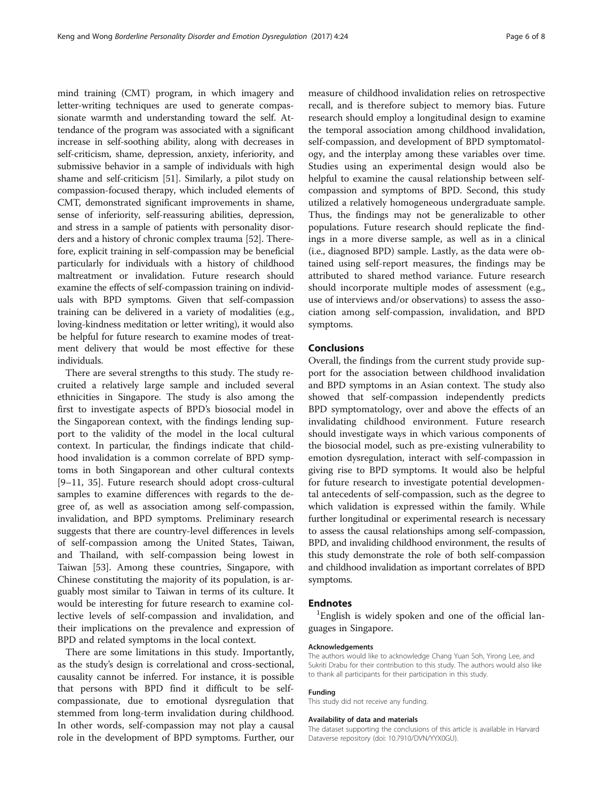mind training (CMT) program, in which imagery and letter-writing techniques are used to generate compassionate warmth and understanding toward the self. Attendance of the program was associated with a significant increase in self-soothing ability, along with decreases in self-criticism, shame, depression, anxiety, inferiority, and submissive behavior in a sample of individuals with high shame and self-criticism [[51](#page-7-0)]. Similarly, a pilot study on compassion-focused therapy, which included elements of CMT, demonstrated significant improvements in shame, sense of inferiority, self-reassuring abilities, depression, and stress in a sample of patients with personality disorders and a history of chronic complex trauma [[52](#page-7-0)]. Therefore, explicit training in self-compassion may be beneficial particularly for individuals with a history of childhood maltreatment or invalidation. Future research should examine the effects of self-compassion training on individuals with BPD symptoms. Given that self-compassion training can be delivered in a variety of modalities (e.g., loving-kindness meditation or letter writing), it would also be helpful for future research to examine modes of treatment delivery that would be most effective for these individuals.

There are several strengths to this study. The study recruited a relatively large sample and included several ethnicities in Singapore. The study is also among the first to investigate aspects of BPD's biosocial model in the Singaporean context, with the findings lending support to the validity of the model in the local cultural context. In particular, the findings indicate that childhood invalidation is a common correlate of BPD symptoms in both Singaporean and other cultural contexts [[9](#page-6-0)–[11, 35\]](#page-6-0). Future research should adopt cross-cultural samples to examine differences with regards to the degree of, as well as association among self-compassion, invalidation, and BPD symptoms. Preliminary research suggests that there are country-level differences in levels of self-compassion among the United States, Taiwan, and Thailand, with self-compassion being lowest in Taiwan [[53\]](#page-7-0). Among these countries, Singapore, with Chinese constituting the majority of its population, is arguably most similar to Taiwan in terms of its culture. It would be interesting for future research to examine collective levels of self-compassion and invalidation, and their implications on the prevalence and expression of BPD and related symptoms in the local context.

There are some limitations in this study. Importantly, as the study's design is correlational and cross-sectional, causality cannot be inferred. For instance, it is possible that persons with BPD find it difficult to be selfcompassionate, due to emotional dysregulation that stemmed from long-term invalidation during childhood. In other words, self-compassion may not play a causal role in the development of BPD symptoms. Further, our measure of childhood invalidation relies on retrospective recall, and is therefore subject to memory bias. Future research should employ a longitudinal design to examine the temporal association among childhood invalidation, self-compassion, and development of BPD symptomatology, and the interplay among these variables over time. Studies using an experimental design would also be helpful to examine the causal relationship between selfcompassion and symptoms of BPD. Second, this study utilized a relatively homogeneous undergraduate sample. Thus, the findings may not be generalizable to other populations. Future research should replicate the findings in a more diverse sample, as well as in a clinical (i.e., diagnosed BPD) sample. Lastly, as the data were obtained using self-report measures, the findings may be attributed to shared method variance. Future research should incorporate multiple modes of assessment (e.g., use of interviews and/or observations) to assess the association among self-compassion, invalidation, and BPD symptoms.

### **Conclusions**

Overall, the findings from the current study provide support for the association between childhood invalidation and BPD symptoms in an Asian context. The study also showed that self-compassion independently predicts BPD symptomatology, over and above the effects of an invalidating childhood environment. Future research should investigate ways in which various components of the biosocial model, such as pre-existing vulnerability to emotion dysregulation, interact with self-compassion in giving rise to BPD symptoms. It would also be helpful for future research to investigate potential developmental antecedents of self-compassion, such as the degree to which validation is expressed within the family. While further longitudinal or experimental research is necessary to assess the causal relationships among self-compassion, BPD, and invaliding childhood environment, the results of this study demonstrate the role of both self-compassion and childhood invalidation as important correlates of BPD symptoms.

### **Endnotes**

English is widely spoken and one of the official languages in Singapore.

#### Acknowledgements

The authors would like to acknowledge Chang Yuan Soh, Yirong Lee, and Sukriti Drabu for their contribution to this study. The authors would also like to thank all participants for their participation in this study.

#### Funding

This study did not receive any funding.

#### Availability of data and materials

The dataset supporting the conclusions of this article is available in Harvard Dataverse repository (doi: 10.7910/DVN/YYX0GU).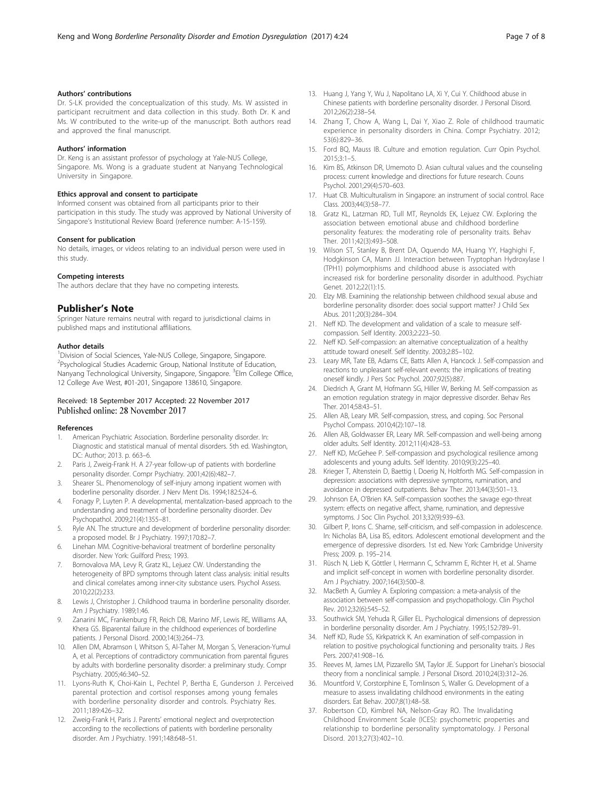### <span id="page-6-0"></span>Authors' contributions

Dr. S-LK provided the conceptualization of this study. Ms. W assisted in participant recruitment and data collection in this study. Both Dr. K and Ms. W contributed to the write-up of the manuscript. Both authors read and approved the final manuscript.

#### Authors' information

Dr. Keng is an assistant professor of psychology at Yale-NUS College, Singapore. Ms. Wong is a graduate student at Nanyang Technological University in Singapore.

#### Ethics approval and consent to participate

Informed consent was obtained from all participants prior to their participation in this study. The study was approved by National University of Singapore's Institutional Review Board (reference number: A-15-159).

#### Consent for publication

No details, images, or videos relating to an individual person were used in this study.

#### Competing interests

The authors declare that they have no competing interests.

### Publisher's Note

Springer Nature remains neutral with regard to jurisdictional claims in published maps and institutional affiliations.

#### Author details

<sup>1</sup>Division of Social Sciences, Yale-NUS College, Singapore, Singapore. 2 Psychological Studies Academic Group, National Institute of Education, Nanyang Technological University, Singapore, Singapore. <sup>3</sup>Elm College Office, 12 College Ave West, #01-201, Singapore 138610, Singapore.

### Received: 18 September 2017 Accepted: 22 November 2017 Published online: 28 November 2017

#### References

- American Psychiatric Association. Borderline personality disorder. In: Diagnostic and statistical manual of mental disorders. 5th ed. Washington, DC: Author; 2013. p. 663–6.
- Paris J, Zweig-Frank H. A 27-year follow-up of patients with borderline personality disorder. Compr Psychiatry. 2001;42(6):482–7.
- 3. Shearer SL. Phenomenology of self-injury among inpatient women with boderline personality disorder. J Nerv Ment Dis. 1994;182:524–6.
- 4. Fonagy P, Luyten P. A developmental, mentalization-based approach to the understanding and treatment of borderline personality disorder. Dev Psychopathol. 2009;21(4):1355–81.
- 5. Ryle AN. The structure and development of borderline personality disorder: a proposed model. Br J Psychiatry. 1997;170:82–7.
- 6. Linehan MM. Cognitive-behavioral treatment of borderline personality disorder. New York: Guilford Press; 1993.
- 7. Bornovalova MA, Levy R, Gratz KL, Lejuez CW. Understanding the heterogeneity of BPD symptoms through latent class analysis: initial results and clinical correlates among inner-city substance users. Psychol Assess. 2010;22(2):233.
- 8. Lewis J, Christopher J. Childhood trauma in borderline personality disorder. Am J Psychiatry. 1989;1:46.
- Zanarini MC, Frankenburg FR, Reich DB, Marino MF, Lewis RE, Williams AA, Khera GS. Biparental failure in the childhood experiences of borderline patients. J Personal Disord. 2000;14(3):264–73.
- 10. Allen DM, Abramson I, Whitson S, Al-Taher M, Morgan S, Veneracion-Yumul A, et al. Perceptions of contradictory communication from parental figures by adults with borderline personality disorder: a preliminary study. Compr Psychiatry. 2005;46:340–52.
- 11. Lyons-Ruth K, Choi-Kain L, Pechtel P, Bertha E, Gunderson J. Perceived parental protection and cortisol responses among young females with borderline personality disorder and controls. Psychiatry Res. 2011;189:426–32.
- 12. Zweig-Frank H, Paris J. Parents' emotional neglect and overprotection according to the recollections of patients with borderline personality disorder. Am J Psychiatry. 1991;148:648–51.
- 13. Huang J, Yang Y, Wu J, Napolitano LA, Xi Y, Cui Y. Childhood abuse in Chinese patients with borderline personality disorder. J Personal Disord. 2012;26(2):238–54.
- 14. Zhang T, Chow A, Wang L, Dai Y, Xiao Z. Role of childhood traumatic experience in personality disorders in China. Compr Psychiatry. 2012; 53(6):829–36.
- 15. Ford BQ, Mauss IB. Culture and emotion regulation. Curr Opin Psychol. 2015;3:1–5.
- 16. Kim BS, Atkinson DR, Umemoto D. Asian cultural values and the counseling process: current knowledge and directions for future research. Couns Psychol. 2001;29(4):570–603.
- 17. Huat CB. Multiculturalism in Singapore: an instrument of social control. Race Class. 2003;44(3):58–77.
- 18. Gratz KL, Latzman RD, Tull MT, Reynolds EK, Lejuez CW. Exploring the association between emotional abuse and childhood borderline personality features: the moderating role of personality traits. Behav Ther. 2011;42(3):493–508.
- 19. Wilson ST, Stanley B, Brent DA, Oquendo MA, Huang YY, Haghighi F, Hodgkinson CA, Mann JJ. Interaction between Tryptophan Hydroxylase I (TPH1) polymorphisms and childhood abuse is associated with increased risk for borderline personality disorder in adulthood. Psychiatr Genet. 2012;22(1):15.
- 20. Elzy MB. Examining the relationship between childhood sexual abuse and borderline personality disorder: does social support matter? J Child Sex Abus. 2011;20(3):284–304.
- 21. Neff KD. The development and validation of a scale to measure selfcompassion. Self Identity. 2003;2:223–50.
- 22. Neff KD. Self-compassion: an alternative conceptualization of a healthy attitude toward oneself. Self Identity. 2003;2:85–102.
- 23. Leary MR, Tate EB, Adams CE, Batts Allen A, Hancock J. Self-compassion and reactions to unpleasant self-relevant events: the implications of treating oneself kindly. J Pers Soc Psychol. 2007;92(5):887.
- 24. Diedrich A, Grant M, Hofmann SG, Hiller W, Berking M. Self-compassion as an emotion regulation strategy in major depressive disorder. Behav Res Ther. 2014;58:43–51.
- 25. Allen AB, Leary MR. Self-compassion, stress, and coping. Soc Personal Psychol Compass. 2010;4(2):107–18.
- 26. Allen AB, Goldwasser ER, Leary MR. Self-compassion and well-being among older adults. Self Identity. 2012;11(4):428–53.
- 27. Neff KD, McGehee P. Self-compassion and psychological resilience among adolescents and young adults. Self Identity. 2010;9(3):225–40.
- 28. Krieger T, Altenstein D, Baettig I, Doerig N, Holtforth MG. Self-compassion in depression: associations with depressive symptoms, rumination, and avoidance in depressed outpatients. Behav Ther. 2013;44(3):501–13.
- 29. Johnson EA, O'Brien KA. Self-compassion soothes the savage ego-threat system: effects on negative affect, shame, rumination, and depressive symptoms. J Soc Clin Psychol. 2013;32(9):939–63.
- 30. Gilbert P, Irons C. Shame, self-criticism, and self-compassion in adolescence. In: Nicholas BA, Lisa BS, editors. Adolescent emotional development and the emergence of depressive disorders. 1st ed. New York: Cambridge University Press; 2009. p. 195–214.
- 31. Rüsch N, Lieb K, Göttler I, Hermann C, Schramm E, Richter H, et al. Shame and implicit self-concept in women with borderline personality disorder. Am J Psychiatry. 2007;164(3):500–8.
- 32. MacBeth A, Gumley A. Exploring compassion: a meta-analysis of the association between self-compassion and psychopathology. Clin Psychol Rev. 2012;32(6):545–52.
- 33. Southwick SM, Yehuda R, Giller EL. Psychological dimensions of depression in borderline personality disorder. Am J Psychiatry. 1995;152:789–91.
- 34. Neff KD, Rude SS, Kirkpatrick K. An examination of self-compassion in relation to positive psychological functioning and personality traits. J Res Pers. 2007;41:908–16.
- 35. Reeves M, James LM, Pizzarello SM, Taylor JE. Support for Linehan's biosocial theory from a nonclinical sample. J Personal Disord. 2010;24(3):312–26.
- 36. Mountford V, Corstorphine E, Tomlinson S, Waller G. Development of a measure to assess invalidating childhood environments in the eating disorders. Eat Behav. 2007;8(1):48–58.
- 37. Robertson CD, Kimbrel NA, Nelson-Gray RO. The Invalidating Childhood Environment Scale (ICES): psychometric properties and relationship to borderline personality symptomatology. J Personal Disord. 2013;27(3):402–10.